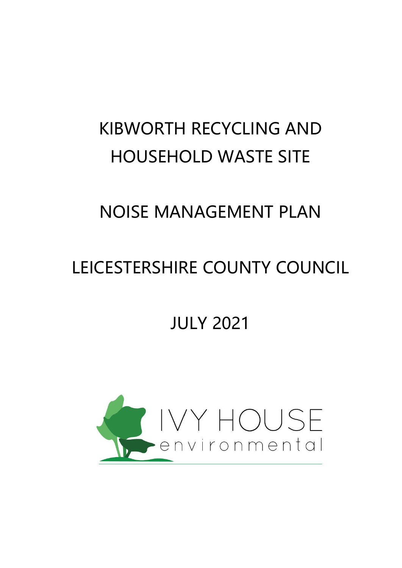# KIBWORTH RECYCLING AND HOUSEHOLD WASTE SITE

# NOISE MANAGEMENT PLAN

# LEICESTERSHIRE COUNTY COUNCIL

# JULY 2021

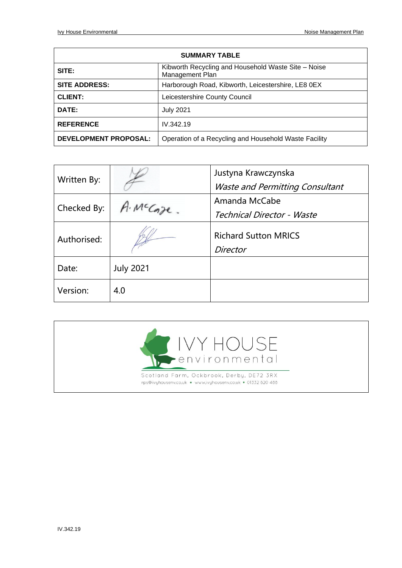| <b>SUMMARY TABLE</b>         |                                                                        |  |  |
|------------------------------|------------------------------------------------------------------------|--|--|
| SITE:                        | Kibworth Recycling and Household Waste Site - Noise<br>Management Plan |  |  |
| <b>SITE ADDRESS:</b>         | Harborough Road, Kibworth, Leicestershire, LE8 0EX                     |  |  |
| <b>CLIENT:</b>               | Leicestershire County Council                                          |  |  |
| DATE:                        | <b>July 2021</b>                                                       |  |  |
| <b>REFERENCE</b>             | IV.342.19                                                              |  |  |
| <b>DEVELOPMENT PROPOSAL:</b> | Operation of a Recycling and Household Waste Facility                  |  |  |

| Written By: |                  | Justyna Krawczynska<br><b>Waste and Permitting Consultant</b> |
|-------------|------------------|---------------------------------------------------------------|
| Checked By: | McCaze.          | Amanda McCabe<br>Technical Director - Waste                   |
| Authorised: |                  | <b>Richard Sutton MRICS</b><br>Director                       |
| Date:       | <b>July 2021</b> |                                                               |
| Version:    | 4.0              |                                                               |

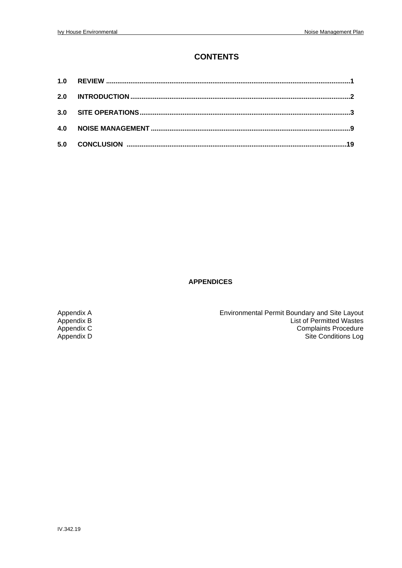#### **CONTENTS**

| 2.0 |  |
|-----|--|
| 3.0 |  |
| 4.0 |  |
| 5.0 |  |

#### **APPENDICES**

Appendix A<br>Appendix B Environmental Permit Boundary and Site Layout<br>List of Permitted Wastes Appendix B<br>
Appendix C<br>
Appendix C<br>
Appendix C<br>
Appendix C<br>
Appendix C<br>
Appendix C<br>
Appendix C<br>
Appendix C<br>
Appendix C<br>
Appendix C<br>
Appendix C<br>
Appendix C<br>
Appendix C<br>
Appendix C<br>
Appendix C<br>
Appendix C<br>
Appendix C<br>
And Ap Appendix C<br>
Appendix C<br>
Appendix D<br>
Complaints Procedure<br>
Site Conditions Log Site Conditions Log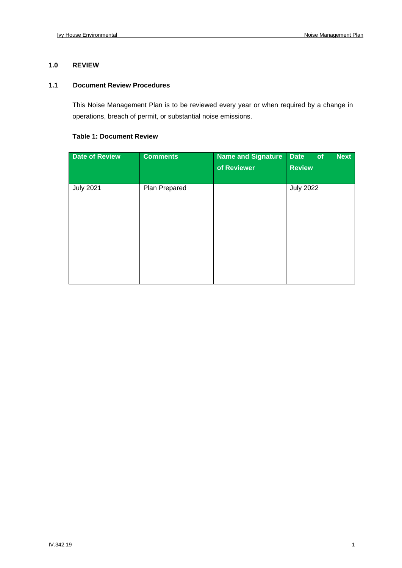#### **1.0 REVIEW**

#### **1.1 Document Review Procedures**

This Noise Management Plan is to be reviewed every year or when required by a change in operations, breach of permit, or substantial noise emissions.

#### **Table 1: Document Review**

| <b>Date of Review</b> | <b>Comments</b> | <b>Name and Signature</b><br>of Reviewer | <b>Next</b><br>Date<br>of<br><b>Review</b> |
|-----------------------|-----------------|------------------------------------------|--------------------------------------------|
| <b>July 2021</b>      | Plan Prepared   |                                          | <b>July 2022</b>                           |
|                       |                 |                                          |                                            |
|                       |                 |                                          |                                            |
|                       |                 |                                          |                                            |
|                       |                 |                                          |                                            |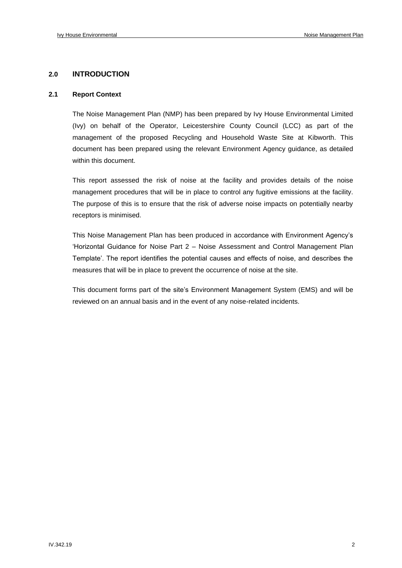#### **2.0 INTRODUCTION**

#### **2.1 Report Context**

The Noise Management Plan (NMP) has been prepared by Ivy House Environmental Limited (Ivy) on behalf of the Operator, Leicestershire County Council (LCC) as part of the management of the proposed Recycling and Household Waste Site at Kibworth. This document has been prepared using the relevant Environment Agency guidance, as detailed within this document.

This report assessed the risk of noise at the facility and provides details of the noise management procedures that will be in place to control any fugitive emissions at the facility. The purpose of this is to ensure that the risk of adverse noise impacts on potentially nearby receptors is minimised.

This Noise Management Plan has been produced in accordance with Environment Agency's 'Horizontal Guidance for Noise Part 2 – Noise Assessment and Control Management Plan Template'. The report identifies the potential causes and effects of noise, and describes the measures that will be in place to prevent the occurrence of noise at the site.

This document forms part of the site's Environment Management System (EMS) and will be reviewed on an annual basis and in the event of any noise-related incidents.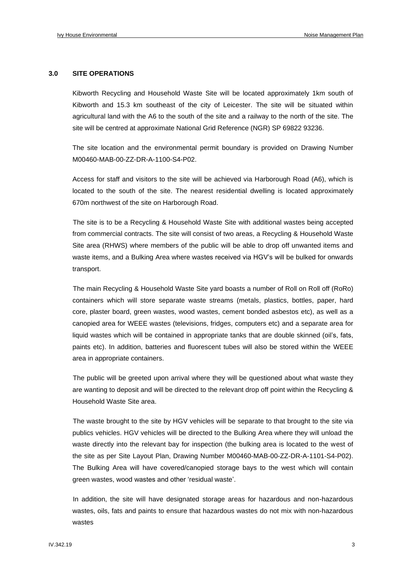#### **3.0 SITE OPERATIONS**

Kibworth Recycling and Household Waste Site will be located approximately 1km south of Kibworth and 15.3 km southeast of the city of Leicester. The site will be situated within agricultural land with the A6 to the south of the site and a railway to the north of the site. The site will be centred at approximate National Grid Reference (NGR) SP 69822 93236.

The site location and the environmental permit boundary is provided on Drawing Number M00460-MAB-00-ZZ-DR-A-1100-S4-P02.

Access for staff and visitors to the site will be achieved via Harborough Road (A6), which is located to the south of the site. The nearest residential dwelling is located approximately 670m northwest of the site on Harborough Road.

The site is to be a Recycling & Household Waste Site with additional wastes being accepted from commercial contracts. The site will consist of two areas, a Recycling & Household Waste Site area (RHWS) where members of the public will be able to drop off unwanted items and waste items, and a Bulking Area where wastes received via HGV's will be bulked for onwards transport.

The main Recycling & Household Waste Site yard boasts a number of Roll on Roll off (RoRo) containers which will store separate waste streams (metals, plastics, bottles, paper, hard core, plaster board, green wastes, wood wastes, cement bonded asbestos etc), as well as a canopied area for WEEE wastes (televisions, fridges, computers etc) and a separate area for liquid wastes which will be contained in appropriate tanks that are double skinned (oil's, fats, paints etc). In addition, batteries and fluorescent tubes will also be stored within the WEEE area in appropriate containers.

The public will be greeted upon arrival where they will be questioned about what waste they are wanting to deposit and will be directed to the relevant drop off point within the Recycling & Household Waste Site area.

The waste brought to the site by HGV vehicles will be separate to that brought to the site via publics vehicles. HGV vehicles will be directed to the Bulking Area where they will unload the waste directly into the relevant bay for inspection (the bulking area is located to the west of the site as per Site Layout Plan, Drawing Number M00460-MAB-00-ZZ-DR-A-1101-S4-P02). The Bulking Area will have covered/canopied storage bays to the west which will contain green wastes, wood wastes and other 'residual waste'.

In addition, the site will have designated storage areas for hazardous and non-hazardous wastes, oils, fats and paints to ensure that hazardous wastes do not mix with non-hazardous wastes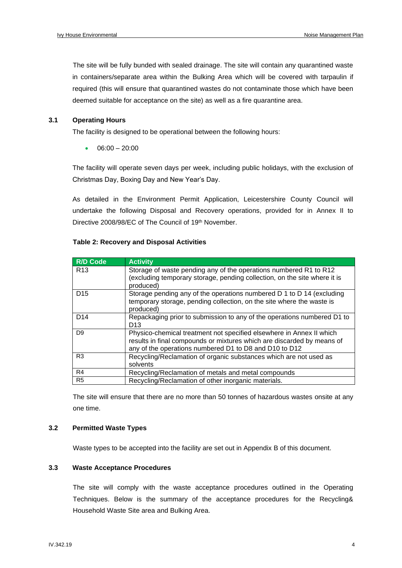The site will be fully bunded with sealed drainage. The site will contain any quarantined waste in containers/separate area within the Bulking Area which will be covered with tarpaulin if required (this will ensure that quarantined wastes do not contaminate those which have been deemed suitable for acceptance on the site) as well as a fire quarantine area.

#### **3.1 Operating Hours**

The facility is designed to be operational between the following hours:

 $06:00 - 20:00$ 

The facility will operate seven days per week, including public holidays, with the exclusion of Christmas Day, Boxing Day and New Year's Day.

As detailed in the Environment Permit Application, Leicestershire County Council will undertake the following Disposal and Recovery operations, provided for in Annex II to Directive 2008/98/EC of The Council of 19<sup>th</sup> November.

| <b>R/D Code</b> | <b>Activity</b>                                                                                                                                                                                          |
|-----------------|----------------------------------------------------------------------------------------------------------------------------------------------------------------------------------------------------------|
| R <sub>13</sub> | Storage of waste pending any of the operations numbered R1 to R12<br>(excluding temporary storage, pending collection, on the site where it is<br>produced)                                              |
| D <sub>15</sub> | Storage pending any of the operations numbered D 1 to D 14 (excluding<br>temporary storage, pending collection, on the site where the waste is<br>produced)                                              |
| D <sub>14</sub> | Repackaging prior to submission to any of the operations numbered D1 to<br>D <sub>13</sub>                                                                                                               |
| D <sub>9</sub>  | Physico-chemical treatment not specified elsewhere in Annex II which<br>results in final compounds or mixtures which are discarded by means of<br>any of the operations numbered D1 to D8 and D10 to D12 |
| R <sub>3</sub>  | Recycling/Reclamation of organic substances which are not used as<br>solvents                                                                                                                            |
| R4              | Recycling/Reclamation of metals and metal compounds                                                                                                                                                      |
| R <sub>5</sub>  | Recycling/Reclamation of other inorganic materials.                                                                                                                                                      |

#### **Table 2: Recovery and Disposal Activities**

The site will ensure that there are no more than 50 tonnes of hazardous wastes onsite at any one time.

#### **3.2 Permitted Waste Types**

Waste types to be accepted into the facility are set out in Appendix B of this document.

#### **3.3 Waste Acceptance Procedures**

The site will comply with the waste acceptance procedures outlined in the Operating Techniques. Below is the summary of the acceptance procedures for the Recycling& Household Waste Site area and Bulking Area.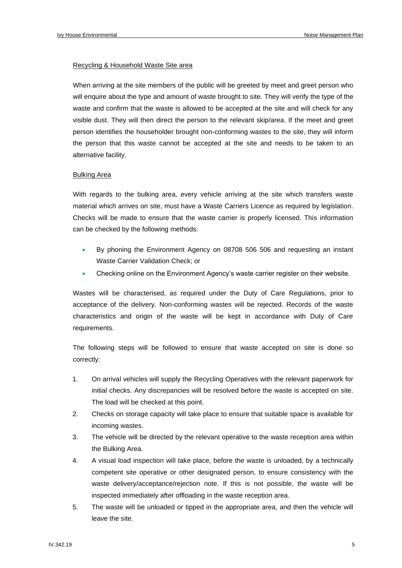#### Recycling & Household Waste Site area

When arriving at the site members of the public will be greeted by meet and greet person who will enquire about the type and amount of waste brought to site. They will verify the type of the waste and confirm that the waste is allowed to be accepted at the site and will check for any visible dust. They will then direct the person to the relevant skip/area. If the meet and greet person identifies the householder brought non-conforming wastes to the site, they will inform the person that this waste cannot be accepted at the site and needs to be taken to an alternative facility.

#### Bulking Area

With regards to the bulking area, every vehicle arriving at the site which transfers waste material which arrives on site, must have a Waste Carriers Licence as required by legislation. Checks will be made to ensure that the waste carrier is properly licensed. This information can be checked by the following methods:

- By phoning the Environment Agency on 08708 506 506 and requesting an instant Waste Carrier Validation Check; or
- Checking online on the Environment Agency's waste carrier register on their website.

Wastes will be characterised, as required under the Duty of Care Regulations, prior to acceptance of the delivery. Non-conforming wastes will be rejected. Records of the waste characteristics and origin of the waste will be kept in accordance with Duty of Care requirements.

The following steps will be followed to ensure that waste accepted on site is done so correctly:

- 1. On arrival vehicles will supply the Recycling Operatives with the relevant paperwork for initial checks. Any discrepancies will be resolved before the waste is accepted on site. The load will be checked at this point.
- 2. Checks on storage capacity will take place to ensure that suitable space is available for incoming wastes.
- 3. The vehicle will be directed by the relevant operative to the waste reception area within the Bulking Area.
- 4. A visual load inspection will take place, before the waste is unloaded, by a technically competent site operative or other designated person, to ensure consistency with the waste delivery/acceptance/rejection note. If this is not possible, the waste will be inspected immediately after offloading in the waste reception area.
- 5. The waste will be unloaded or tipped in the appropriate area, and then the vehicle will leave the site.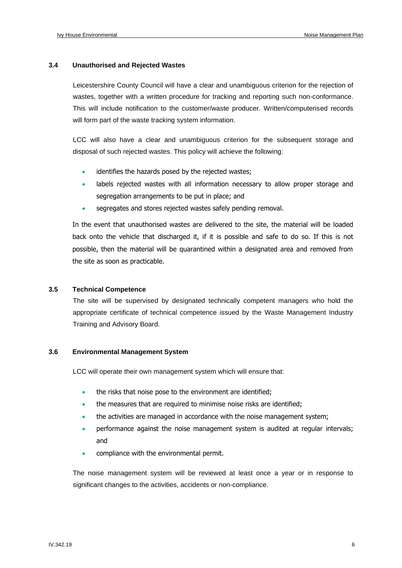#### **3.4 Unauthorised and Rejected Wastes**

Leicestershire County Council will have a clear and unambiguous criterion for the rejection of wastes, together with a written procedure for tracking and reporting such non-conformance. This will include notification to the customer/waste producer. Written/computerised records will form part of the waste tracking system information.

LCC will also have a clear and unambiguous criterion for the subsequent storage and disposal of such rejected wastes. This policy will achieve the following:

- identifies the hazards posed by the rejected wastes;
- labels rejected wastes with all information necessary to allow proper storage and segregation arrangements to be put in place; and
- segregates and stores rejected wastes safely pending removal.

In the event that unauthorised wastes are delivered to the site, the material will be loaded back onto the vehicle that discharged it, if it is possible and safe to do so. If this is not possible, then the material will be quarantined within a designated area and removed from the site as soon as practicable.

#### **3.5 Technical Competence**

The site will be supervised by designated technically competent managers who hold the appropriate certificate of technical competence issued by the Waste Management Industry Training and Advisory Board.

#### **3.6 Environmental Management System**

LCC will operate their own management system which will ensure that:

- the risks that noise pose to the environment are identified;
- the measures that are required to minimise noise risks are identified;
- the activities are managed in accordance with the noise management system;
- performance against the noise management system is audited at regular intervals; and
- compliance with the environmental permit.

The noise management system will be reviewed at least once a year or in response to significant changes to the activities, accidents or non-compliance.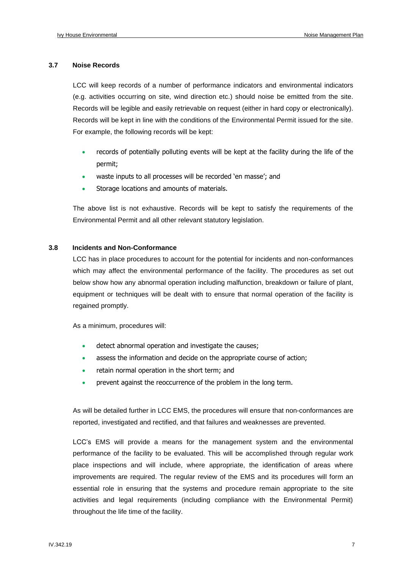#### **3.7 Noise Records**

LCC will keep records of a number of performance indicators and environmental indicators (e.g. activities occurring on site, wind direction etc.) should noise be emitted from the site. Records will be legible and easily retrievable on request (either in hard copy or electronically). Records will be kept in line with the conditions of the Environmental Permit issued for the site. For example, the following records will be kept:

- records of potentially polluting events will be kept at the facility during the life of the permit;
- waste inputs to all processes will be recorded 'en masse'; and
- Storage locations and amounts of materials.

The above list is not exhaustive. Records will be kept to satisfy the requirements of the Environmental Permit and all other relevant statutory legislation.

#### **3.8 Incidents and Non-Conformance**

LCC has in place procedures to account for the potential for incidents and non-conformances which may affect the environmental performance of the facility. The procedures as set out below show how any abnormal operation including malfunction, breakdown or failure of plant, equipment or techniques will be dealt with to ensure that normal operation of the facility is regained promptly.

As a minimum, procedures will:

- detect abnormal operation and investigate the causes;
- assess the information and decide on the appropriate course of action;
- retain normal operation in the short term; and
- prevent against the reoccurrence of the problem in the long term.

As will be detailed further in LCC EMS, the procedures will ensure that non-conformances are reported, investigated and rectified, and that failures and weaknesses are prevented.

LCC's EMS will provide a means for the management system and the environmental performance of the facility to be evaluated. This will be accomplished through regular work place inspections and will include, where appropriate, the identification of areas where improvements are required. The regular review of the EMS and its procedures will form an essential role in ensuring that the systems and procedure remain appropriate to the site activities and legal requirements (including compliance with the Environmental Permit) throughout the life time of the facility.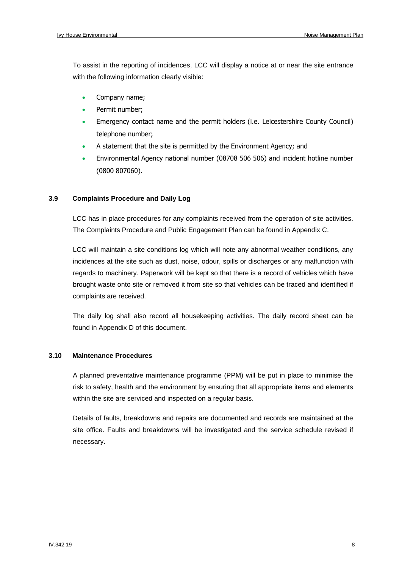To assist in the reporting of incidences, LCC will display a notice at or near the site entrance with the following information clearly visible:

- Company name;
- Permit number;
- Emergency contact name and the permit holders (i.e. Leicestershire County Council) telephone number;
- A statement that the site is permitted by the Environment Agency; and
- Environmental Agency national number (08708 506 506) and incident hotline number (0800 807060).

#### **3.9 Complaints Procedure and Daily Log**

LCC has in place procedures for any complaints received from the operation of site activities. The Complaints Procedure and Public Engagement Plan can be found in Appendix C.

LCC will maintain a site conditions log which will note any abnormal weather conditions, any incidences at the site such as dust, noise, odour, spills or discharges or any malfunction with regards to machinery. Paperwork will be kept so that there is a record of vehicles which have brought waste onto site or removed it from site so that vehicles can be traced and identified if complaints are received.

The daily log shall also record all housekeeping activities. The daily record sheet can be found in Appendix D of this document.

#### **3.10 Maintenance Procedures**

A planned preventative maintenance programme (PPM) will be put in place to minimise the risk to safety, health and the environment by ensuring that all appropriate items and elements within the site are serviced and inspected on a regular basis.

Details of faults, breakdowns and repairs are documented and records are maintained at the site office. Faults and breakdowns will be investigated and the service schedule revised if necessary.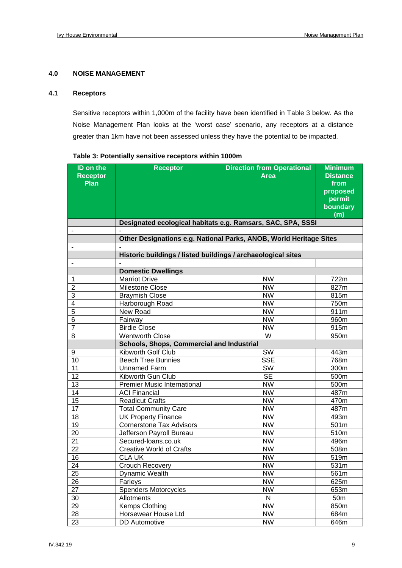#### **4.0 NOISE MANAGEMENT**

#### **4.1 Receptors**

Sensitive receptors within 1,000m of the facility have been identified in Table 3 below. As the Noise Management Plan looks at the 'worst case' scenario, any receptors at a distance greater than 1km have not been assessed unless they have the potential to be impacted.

| ID on the<br><b>Receptor</b><br><b>Plan</b> | <b>Receptor</b>                                                    | <b>Direction from Operational</b><br><b>Area</b> | <b>Minimum</b><br><b>Distance</b><br>from<br>proposed<br>permit<br>boundary<br>(m) |  |  |  |  |  |
|---------------------------------------------|--------------------------------------------------------------------|--------------------------------------------------|------------------------------------------------------------------------------------|--|--|--|--|--|
|                                             | Designated ecological habitats e.g. Ramsars, SAC, SPA, SSSI        |                                                  |                                                                                    |  |  |  |  |  |
|                                             |                                                                    |                                                  |                                                                                    |  |  |  |  |  |
|                                             | Other Designations e.g. National Parks, ANOB, World Heritage Sites |                                                  |                                                                                    |  |  |  |  |  |
|                                             |                                                                    |                                                  |                                                                                    |  |  |  |  |  |
|                                             | Historic buildings / listed buildings / archaeological sites       |                                                  |                                                                                    |  |  |  |  |  |
|                                             |                                                                    |                                                  |                                                                                    |  |  |  |  |  |
|                                             | <b>Domestic Dwellings</b>                                          |                                                  |                                                                                    |  |  |  |  |  |
| 1                                           | <b>Marriot Drive</b>                                               | <b>NW</b>                                        | 722m                                                                               |  |  |  |  |  |
| $\overline{2}$                              | Milestone Close                                                    | <b>NW</b>                                        | 827m                                                                               |  |  |  |  |  |
| 3                                           | <b>Braymish Close</b>                                              | <b>NW</b>                                        | 815m                                                                               |  |  |  |  |  |
| 4                                           | Harborough Road                                                    | <b>NW</b>                                        | 750m                                                                               |  |  |  |  |  |
| 5                                           | New Road                                                           | <b>NW</b>                                        | 911m                                                                               |  |  |  |  |  |
| 6                                           | Fairway                                                            | <b>NW</b>                                        | 960m                                                                               |  |  |  |  |  |
| 7                                           | <b>Birdie Close</b>                                                | <b>NW</b>                                        | 915m                                                                               |  |  |  |  |  |
| 8                                           | <b>Wentworth Close</b>                                             | W                                                | 950m                                                                               |  |  |  |  |  |
|                                             | <b>Schools, Shops, Commercial and Industrial</b>                   |                                                  |                                                                                    |  |  |  |  |  |
| 9                                           | Kibworth Golf Club                                                 | SW                                               | 443m                                                                               |  |  |  |  |  |
| 10                                          | <b>Beech Tree Bunnies</b>                                          | <b>SSE</b>                                       | 768m                                                                               |  |  |  |  |  |
| 11                                          | <b>Unnamed Farm</b>                                                | SW                                               | 300m                                                                               |  |  |  |  |  |
| 12                                          | Kibworth Gun Club                                                  | <b>SE</b>                                        | 500m                                                                               |  |  |  |  |  |
| 13                                          | <b>Premier Music International</b>                                 | <b>NW</b>                                        | 500m                                                                               |  |  |  |  |  |
| 14                                          | <b>ACI Financial</b>                                               | <b>NW</b>                                        | 487m                                                                               |  |  |  |  |  |
| 15                                          | <b>Readicut Crafts</b>                                             | <b>NW</b>                                        | 470m                                                                               |  |  |  |  |  |
| 17                                          | <b>Total Community Care</b>                                        | <b>NW</b>                                        | 487m                                                                               |  |  |  |  |  |
| 18                                          | <b>UK Property Finance</b>                                         | <b>NW</b>                                        | 493m                                                                               |  |  |  |  |  |
| 19                                          | <b>Cornerstone Tax Advisors</b>                                    | <b>NW</b>                                        | 501m                                                                               |  |  |  |  |  |
| 20                                          | Jefferson Payroll Bureau                                           | <b>NW</b>                                        | 510m                                                                               |  |  |  |  |  |
| 21                                          | Secured-Ioans.co.uk                                                | <b>NW</b>                                        | 496m                                                                               |  |  |  |  |  |
| 22                                          | <b>Creative World of Crafts</b>                                    | <b>NW</b>                                        | 508m                                                                               |  |  |  |  |  |
| 16                                          | <b>CLA UK</b>                                                      | <b>NW</b>                                        | 519m                                                                               |  |  |  |  |  |
| 24                                          | <b>Crouch Recovery</b>                                             | <b>NW</b>                                        | 531m                                                                               |  |  |  |  |  |
| 25                                          | Dynamic Wealth                                                     | <b>NW</b>                                        | 561m                                                                               |  |  |  |  |  |
| 26                                          | Farleys                                                            | <b>NW</b>                                        | 625m                                                                               |  |  |  |  |  |
| 27                                          | <b>Spenders Motorcycles</b>                                        | <b>NW</b>                                        | 653m                                                                               |  |  |  |  |  |
| $30\,$                                      | Allotments                                                         | ${\sf N}$                                        | 50 <sub>m</sub>                                                                    |  |  |  |  |  |
| 29                                          | Kemps Clothing                                                     | <b>NW</b>                                        | 850m                                                                               |  |  |  |  |  |
| 28                                          | Horsewear House Ltd                                                | <b>NW</b>                                        | 684m                                                                               |  |  |  |  |  |
| 23                                          | <b>DD</b> Automotive                                               | <b>NW</b>                                        | 646m                                                                               |  |  |  |  |  |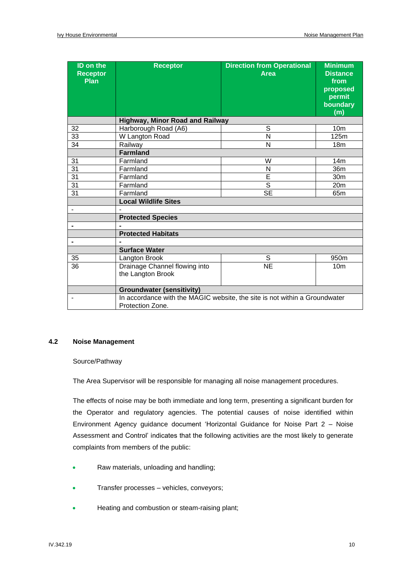| <b>ID on the</b><br><b>Receptor</b><br>Plan | <b>Receptor</b>                                                                                | <b>Direction from Operational</b><br><b>Area</b> | <b>Minimum</b><br><b>Distance</b><br>from<br>proposed<br>permit<br>boundary<br>(m) |  |  |  |  |
|---------------------------------------------|------------------------------------------------------------------------------------------------|--------------------------------------------------|------------------------------------------------------------------------------------|--|--|--|--|
|                                             | <b>Highway, Minor Road and Railway</b>                                                         |                                                  |                                                                                    |  |  |  |  |
| 32                                          | $\overline{s}$<br>Harborough Road (A6)                                                         |                                                  | 10 <sub>m</sub>                                                                    |  |  |  |  |
| 33                                          | W Langton Road                                                                                 | N                                                | 125m                                                                               |  |  |  |  |
| 34                                          | Railway                                                                                        | N                                                | 18m                                                                                |  |  |  |  |
|                                             | <b>Farmland</b>                                                                                |                                                  |                                                                                    |  |  |  |  |
| 31                                          | Farmland                                                                                       | W                                                | 14m                                                                                |  |  |  |  |
| 31                                          | N<br>Farmland                                                                                  |                                                  | 36m                                                                                |  |  |  |  |
| 31                                          | Farmland                                                                                       | E                                                | 30m                                                                                |  |  |  |  |
| 31                                          | Farmland                                                                                       | S                                                | 20 <sub>m</sub>                                                                    |  |  |  |  |
| 31                                          | Farmland                                                                                       | <b>SE</b>                                        | 65 <sub>m</sub>                                                                    |  |  |  |  |
|                                             | <b>Local Wildlife Sites</b>                                                                    |                                                  |                                                                                    |  |  |  |  |
|                                             |                                                                                                |                                                  |                                                                                    |  |  |  |  |
|                                             | <b>Protected Species</b>                                                                       |                                                  |                                                                                    |  |  |  |  |
|                                             |                                                                                                |                                                  |                                                                                    |  |  |  |  |
|                                             | <b>Protected Habitats</b>                                                                      |                                                  |                                                                                    |  |  |  |  |
|                                             |                                                                                                |                                                  |                                                                                    |  |  |  |  |
|                                             | <b>Surface Water</b>                                                                           |                                                  |                                                                                    |  |  |  |  |
| 35                                          | Langton Brook                                                                                  | S                                                | 950m                                                                               |  |  |  |  |
| 36                                          | Drainage Channel flowing into<br>the Langton Brook                                             | <b>NE</b>                                        | 10 <sub>m</sub>                                                                    |  |  |  |  |
|                                             | <b>Groundwater (sensitivity)</b>                                                               |                                                  |                                                                                    |  |  |  |  |
|                                             | In accordance with the MAGIC website, the site is not within a Groundwater<br>Protection Zone. |                                                  |                                                                                    |  |  |  |  |

#### **4.2 Noise Management**

#### Source/Pathway

The Area Supervisor will be responsible for managing all noise management procedures.

The effects of noise may be both immediate and long term, presenting a significant burden for the Operator and regulatory agencies. The potential causes of noise identified within Environment Agency guidance document 'Horizontal Guidance for Noise Part 2 – Noise Assessment and Control' indicates that the following activities are the most likely to generate complaints from members of the public:

- Raw materials, unloading and handling;
- Transfer processes vehicles, conveyors;
- Heating and combustion or steam-raising plant;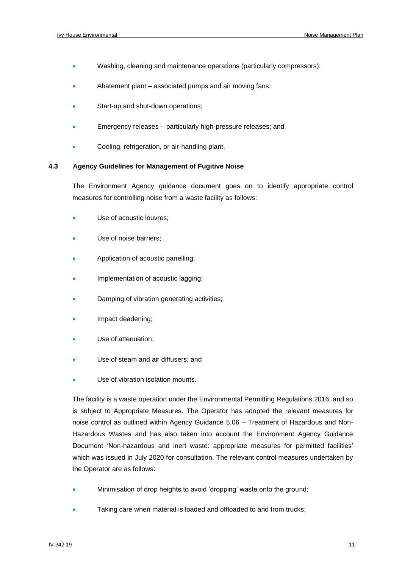- Washing, cleaning and maintenance operations (particularly compressors);
- Abatement plant associated pumps and air moving fans;
- Start-up and shut-down operations;
- Emergency releases particularly high-pressure releases; and
- Cooling, refrigeration, or air-handling plant.

#### **4.3 Agency Guidelines for Management of Fugitive Noise**

The Environment Agency guidance document goes on to identify appropriate control measures for controlling noise from a waste facility as follows:

- Use of acoustic louvres;
- Use of noise barriers:
- Application of acoustic panelling;
- Implementation of acoustic lagging:
- Damping of vibration generating activities;
- Impact deadening;
- Use of attenuation:
- Use of steam and air diffusers; and
- Use of vibration isolation mounts.

The facility is a waste operation under the Environmental Permitting Regulations 2016, and so is subject to Appropriate Measures. The Operator has adopted the relevant measures for noise control as outlined within Agency Guidance 5.06 – Treatment of Hazardous and Non-Hazardous Wastes and has also taken into account the Environment Agency Guidance Document 'Non-hazardous and inert waste: appropriate measures for permitted facilities' which was issued in July 2020 for consultation. The relevant control measures undertaken by the Operator are as follows:

- Minimisation of drop heights to avoid 'dropping' waste onto the ground;
- Taking care when material is loaded and offloaded to and from trucks;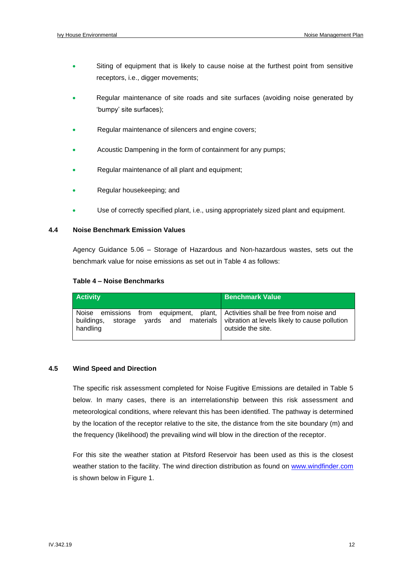- Siting of equipment that is likely to cause noise at the furthest point from sensitive receptors, i.e., digger movements;
- Regular maintenance of site roads and site surfaces (avoiding noise generated by 'bumpy' site surfaces);
- Regular maintenance of silencers and engine covers;
- Acoustic Dampening in the form of containment for any pumps;
- Regular maintenance of all plant and equipment;
- Regular housekeeping; and
- Use of correctly specified plant, i.e., using appropriately sized plant and equipment.

#### **4.4 Noise Benchmark Emission Values**

Agency Guidance 5.06 – Storage of Hazardous and Non-hazardous wastes, sets out the benchmark value for noise emissions as set out in Table 4 as follows:

#### **Table 4 – Noise Benchmarks**

| <b>Activity</b>                                                                                                       | <b>Benchmark Value</b>                                                                   |
|-----------------------------------------------------------------------------------------------------------------------|------------------------------------------------------------------------------------------|
| Noise emissions from equipment, plant, Activities shall be free from noise and<br>  buildings,<br>storage<br>handling | yards and materials   vibration at levels likely to cause pollution<br>outside the site. |

#### **4.5 Wind Speed and Direction**

The specific risk assessment completed for Noise Fugitive Emissions are detailed in Table 5 below. In many cases, there is an interrelationship between this risk assessment and meteorological conditions, where relevant this has been identified. The pathway is determined by the location of the receptor relative to the site, the distance from the site boundary (m) and the frequency (likelihood) the prevailing wind will blow in the direction of the receptor.

For this site the weather station at Pitsford Reservoir has been used as this is the closest weather station to the facility. The wind direction distribution as found on [www.windfinder.com](http://www.windfinder.com/) is shown below in Figure 1.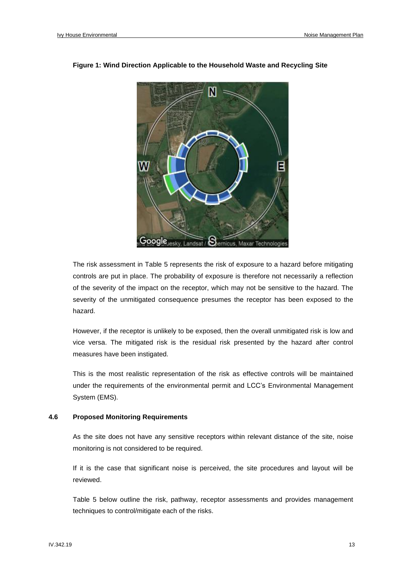

#### **Figure 1: Wind Direction Applicable to the Household Waste and Recycling Site**

The risk assessment in Table 5 represents the risk of exposure to a hazard before mitigating controls are put in place. The probability of exposure is therefore not necessarily a reflection of the severity of the impact on the receptor, which may not be sensitive to the hazard. The severity of the unmitigated consequence presumes the receptor has been exposed to the hazard.

However, if the receptor is unlikely to be exposed, then the overall unmitigated risk is low and vice versa. The mitigated risk is the residual risk presented by the hazard after control measures have been instigated.

This is the most realistic representation of the risk as effective controls will be maintained under the requirements of the environmental permit and LCC's Environmental Management System (EMS).

#### **4.6 Proposed Monitoring Requirements**

As the site does not have any sensitive receptors within relevant distance of the site, noise monitoring is not considered to be required.

If it is the case that significant noise is perceived, the site procedures and layout will be reviewed.

Table 5 below outline the risk, pathway, receptor assessments and provides management techniques to control/mitigate each of the risks.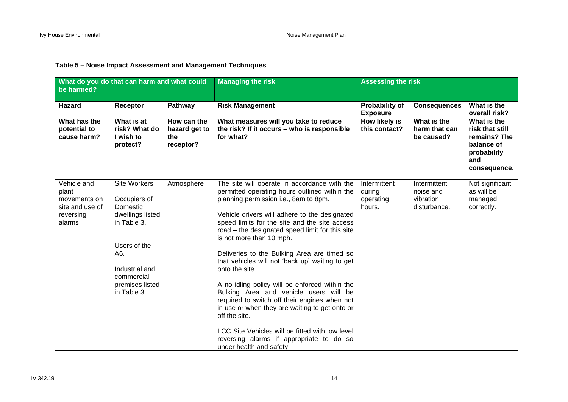| be harmed?                                                                     | What do you do that can harm and what could                                                                                                                                 |                                                  | <b>Managing the risk</b>                                                                                                                                                                                                                                                                                                                                                                                                                                                                                                                                                                                                                                                                                                                                                               | <b>Assessing the risk</b>                     |                                                        |                                                                                                    |
|--------------------------------------------------------------------------------|-----------------------------------------------------------------------------------------------------------------------------------------------------------------------------|--------------------------------------------------|----------------------------------------------------------------------------------------------------------------------------------------------------------------------------------------------------------------------------------------------------------------------------------------------------------------------------------------------------------------------------------------------------------------------------------------------------------------------------------------------------------------------------------------------------------------------------------------------------------------------------------------------------------------------------------------------------------------------------------------------------------------------------------------|-----------------------------------------------|--------------------------------------------------------|----------------------------------------------------------------------------------------------------|
| <b>Hazard</b>                                                                  | Receptor                                                                                                                                                                    | Pathway                                          | <b>Risk Management</b>                                                                                                                                                                                                                                                                                                                                                                                                                                                                                                                                                                                                                                                                                                                                                                 | <b>Probability of</b><br><b>Exposure</b>      | <b>Consequences</b>                                    | What is the<br>overall risk?                                                                       |
| What has the<br>potential to<br>cause harm?                                    | What is at<br>risk? What do<br>I wish to<br>protect?                                                                                                                        | How can the<br>hazard get to<br>the<br>receptor? | What measures will you take to reduce<br>the risk? If it occurs - who is responsible<br>for what?                                                                                                                                                                                                                                                                                                                                                                                                                                                                                                                                                                                                                                                                                      | How likely is<br>this contact?                | What is the<br>harm that can<br>be caused?             | What is the<br>risk that still<br>remains? The<br>balance of<br>probability<br>and<br>consequence. |
| Vehicle and<br>plant<br>movements on<br>site and use of<br>reversing<br>alarms | <b>Site Workers</b><br>Occupiers of<br>Domestic<br>dwellings listed<br>in Table 3.<br>Users of the<br>A6.<br>Industrial and<br>commercial<br>premises listed<br>in Table 3. | Atmosphere                                       | The site will operate in accordance with the<br>permitted operating hours outlined within the<br>planning permission i.e., 8am to 8pm.<br>Vehicle drivers will adhere to the designated<br>speed limits for the site and the site access<br>road – the designated speed limit for this site<br>is not more than 10 mph.<br>Deliveries to the Bulking Area are timed so<br>that vehicles will not 'back up' waiting to get<br>onto the site.<br>A no idling policy will be enforced within the<br>Bulking Area and vehicle users will be<br>required to switch off their engines when not<br>in use or when they are waiting to get onto or<br>off the site.<br>LCC Site Vehicles will be fitted with low level<br>reversing alarms if appropriate to do so<br>under health and safety. | Intermittent<br>during<br>operating<br>hours. | Intermittent<br>noise and<br>vibration<br>disturbance. | Not significant<br>as will be<br>managed<br>correctly.                                             |

#### **Table 5 – Noise Impact Assessment and Management Techniques**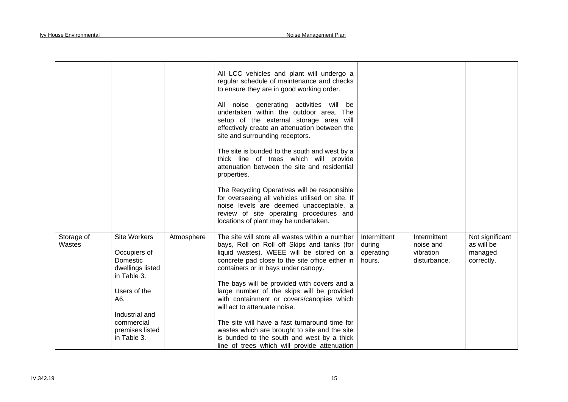|                      |                                                                                                                                                                             |            | All LCC vehicles and plant will undergo a<br>regular schedule of maintenance and checks<br>to ensure they are in good working order.<br>All noise generating activities will be<br>undertaken within the outdoor area. The<br>setup of the external storage area will<br>effectively create an attenuation between the<br>site and surrounding receptors.<br>The site is bunded to the south and west by a<br>thick line of trees which will provide<br>attenuation between the site and residential<br>properties.<br>The Recycling Operatives will be responsible<br>for overseeing all vehicles utilised on site. If<br>noise levels are deemed unacceptable, a<br>review of site operating procedures and<br>locations of plant may be undertaken. |                                               |                                                        |                                                        |
|----------------------|-----------------------------------------------------------------------------------------------------------------------------------------------------------------------------|------------|--------------------------------------------------------------------------------------------------------------------------------------------------------------------------------------------------------------------------------------------------------------------------------------------------------------------------------------------------------------------------------------------------------------------------------------------------------------------------------------------------------------------------------------------------------------------------------------------------------------------------------------------------------------------------------------------------------------------------------------------------------|-----------------------------------------------|--------------------------------------------------------|--------------------------------------------------------|
| Storage of<br>Wastes | <b>Site Workers</b><br>Occupiers of<br>Domestic<br>dwellings listed<br>in Table 3.<br>Users of the<br>A6.<br>Industrial and<br>commercial<br>premises listed<br>in Table 3. | Atmosphere | The site will store all wastes within a number<br>bays, Roll on Roll off Skips and tanks (for<br>liquid wastes). WEEE will be stored on a<br>concrete pad close to the site office either in<br>containers or in bays under canopy.<br>The bays will be provided with covers and a<br>large number of the skips will be provided<br>with containment or covers/canopies which<br>will act to attenuate noise.<br>The site will have a fast turnaround time for<br>wastes which are brought to site and the site<br>is bunded to the south and west by a thick<br>line of trees which will provide attenuation                                                                                                                                          | Intermittent<br>during<br>operating<br>hours. | Intermittent<br>noise and<br>vibration<br>disturbance. | Not significant<br>as will be<br>managed<br>correctly. |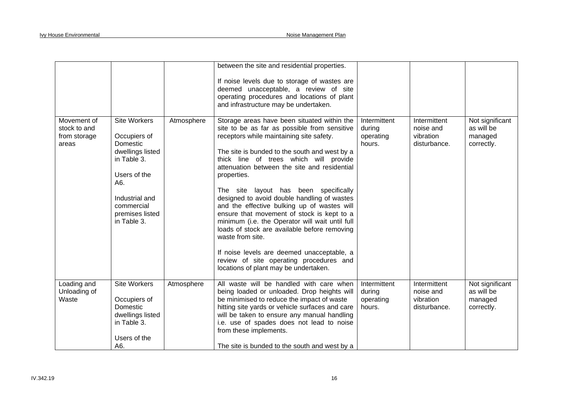|                                                      |                                                                                                                                                                      |            | between the site and residential properties.                                                                                                                                                                                                                                                                                                                                                                                                                                                                                                                                                                                                                                                                                                    |                                               |                                                        |                                                        |
|------------------------------------------------------|----------------------------------------------------------------------------------------------------------------------------------------------------------------------|------------|-------------------------------------------------------------------------------------------------------------------------------------------------------------------------------------------------------------------------------------------------------------------------------------------------------------------------------------------------------------------------------------------------------------------------------------------------------------------------------------------------------------------------------------------------------------------------------------------------------------------------------------------------------------------------------------------------------------------------------------------------|-----------------------------------------------|--------------------------------------------------------|--------------------------------------------------------|
|                                                      |                                                                                                                                                                      |            | If noise levels due to storage of wastes are<br>deemed unacceptable, a review of site<br>operating procedures and locations of plant<br>and infrastructure may be undertaken.                                                                                                                                                                                                                                                                                                                                                                                                                                                                                                                                                                   |                                               |                                                        |                                                        |
| Movement of<br>stock to and<br>from storage<br>areas | Site Workers<br>Occupiers of<br>Domestic<br>dwellings listed<br>in Table 3.<br>Users of the<br>A6.<br>Industrial and<br>commercial<br>premises listed<br>in Table 3. | Atmosphere | Storage areas have been situated within the<br>site to be as far as possible from sensitive<br>receptors while maintaining site safety.<br>The site is bunded to the south and west by a<br>thick line of trees which will provide<br>attenuation between the site and residential<br>properties.<br>The site layout has been specifically<br>designed to avoid double handling of wastes<br>and the effective bulking up of wastes will<br>ensure that movement of stock is kept to a<br>minimum (i.e. the Operator will wait until full<br>loads of stock are available before removing<br>waste from site.<br>If noise levels are deemed unacceptable, a<br>review of site operating procedures and<br>locations of plant may be undertaken. | Intermittent<br>during<br>operating<br>hours. | Intermittent<br>noise and<br>vibration<br>disturbance. | Not significant<br>as will be<br>managed<br>correctly. |
| Loading and<br>Unloading of<br>Waste                 | Site Workers<br>Occupiers of<br>Domestic<br>dwellings listed<br>in Table 3.<br>Users of the<br>A6.                                                                   | Atmosphere | All waste will be handled with care when<br>being loaded or unloaded. Drop heights will<br>be minimised to reduce the impact of waste<br>hitting site yards or vehicle surfaces and care<br>will be taken to ensure any manual handling<br>i.e. use of spades does not lead to noise<br>from these implements.<br>The site is bunded to the south and west by a                                                                                                                                                                                                                                                                                                                                                                                 | Intermittent<br>during<br>operating<br>hours. | Intermittent<br>noise and<br>vibration<br>disturbance. | Not significant<br>as will be<br>managed<br>correctly. |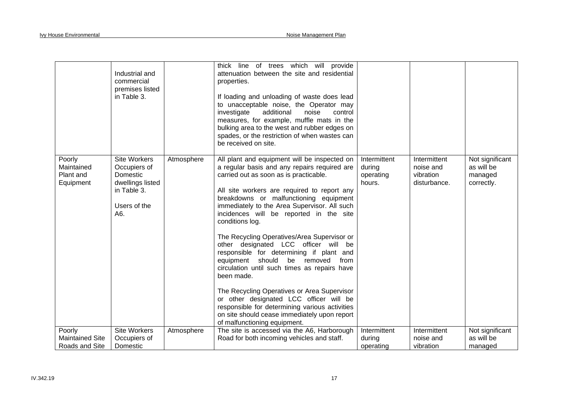|                                                | Industrial and<br>commercial<br>premises listed<br>in Table 3.                                            |            | thick line of trees which will provide<br>attenuation between the site and residential<br>properties.<br>If loading and unloading of waste does lead<br>to unacceptable noise, the Operator may<br>additional<br>investigate<br>noise<br>control<br>measures, for example, muffle mats in the<br>bulking area to the west and rubber edges on<br>spades, or the restriction of when wastes can<br>be received on site.                                                                                                                                                                                                                                                                                                                                                                                                     |                                               |                                                        |                                                        |
|------------------------------------------------|-----------------------------------------------------------------------------------------------------------|------------|----------------------------------------------------------------------------------------------------------------------------------------------------------------------------------------------------------------------------------------------------------------------------------------------------------------------------------------------------------------------------------------------------------------------------------------------------------------------------------------------------------------------------------------------------------------------------------------------------------------------------------------------------------------------------------------------------------------------------------------------------------------------------------------------------------------------------|-----------------------------------------------|--------------------------------------------------------|--------------------------------------------------------|
| Poorly<br>Maintained<br>Plant and<br>Equipment | <b>Site Workers</b><br>Occupiers of<br>Domestic<br>dwellings listed<br>in Table 3.<br>Users of the<br>A6. | Atmosphere | All plant and equipment will be inspected on<br>a regular basis and any repairs required are<br>carried out as soon as is practicable.<br>All site workers are required to report any<br>breakdowns or malfunctioning equipment<br>immediately to the Area Supervisor. All such<br>incidences will be reported in the site<br>conditions log.<br>The Recycling Operatives/Area Supervisor or<br>other designated LCC officer will be<br>responsible for determining if plant and<br>should<br>equipment<br>be<br>removed<br>from<br>circulation until such times as repairs have<br>been made.<br>The Recycling Operatives or Area Supervisor<br>or other designated LCC officer will be<br>responsible for determining various activities<br>on site should cease immediately upon report<br>of malfunctioning equipment. | Intermittent<br>during<br>operating<br>hours. | Intermittent<br>noise and<br>vibration<br>disturbance. | Not significant<br>as will be<br>managed<br>correctly. |
| Poorly                                         | Site Workers                                                                                              | Atmosphere | The site is accessed via the A6, Harborough                                                                                                                                                                                                                                                                                                                                                                                                                                                                                                                                                                                                                                                                                                                                                                                | Intermittent                                  | Intermittent                                           | Not significant                                        |
| <b>Maintained Site</b><br>Roads and Site       | Occupiers of<br>Domestic                                                                                  |            | Road for both incoming vehicles and staff.                                                                                                                                                                                                                                                                                                                                                                                                                                                                                                                                                                                                                                                                                                                                                                                 | during<br>operating                           | noise and<br>vibration                                 | as will be<br>managed                                  |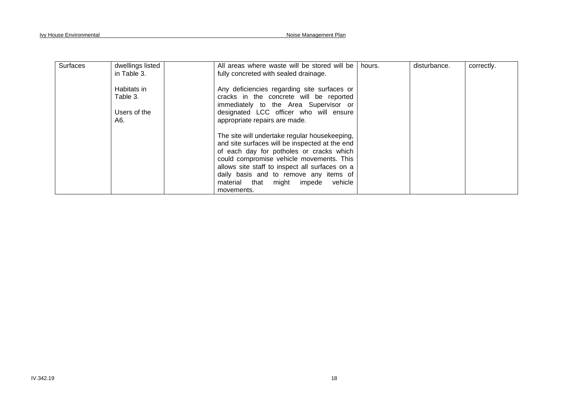| <b>Surfaces</b> | dwellings listed<br>in Table 3.                | All areas where waste will be stored will be<br>fully concreted with sealed drainage.                                                                                                                                                                                                                                                      | hours. | disturbance. | correctly. |
|-----------------|------------------------------------------------|--------------------------------------------------------------------------------------------------------------------------------------------------------------------------------------------------------------------------------------------------------------------------------------------------------------------------------------------|--------|--------------|------------|
|                 | Habitats in<br>Table 3.<br>Users of the<br>A6. | Any deficiencies regarding site surfaces or<br>cracks in the concrete will be reported<br>immediately to the Area Supervisor or<br>designated LCC officer who will ensure<br>appropriate repairs are made.                                                                                                                                 |        |              |            |
|                 |                                                | The site will undertake regular housekeeping,<br>and site surfaces will be inspected at the end<br>of each day for potholes or cracks which<br>could compromise vehicle movements. This<br>allows site staff to inspect all surfaces on a<br>daily basis and to remove any items of<br>impede vehicle<br>material that might<br>movements. |        |              |            |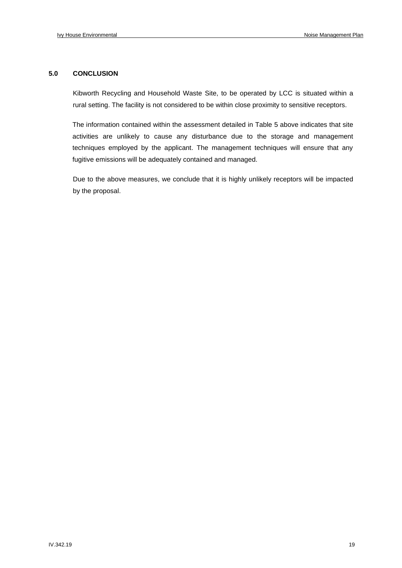#### **5.0 CONCLUSION**

Kibworth Recycling and Household Waste Site, to be operated by LCC is situated within a rural setting. The facility is not considered to be within close proximity to sensitive receptors.

The information contained within the assessment detailed in Table 5 above indicates that site activities are unlikely to cause any disturbance due to the storage and management techniques employed by the applicant. The management techniques will ensure that any fugitive emissions will be adequately contained and managed.

Due to the above measures, we conclude that it is highly unlikely receptors will be impacted by the proposal.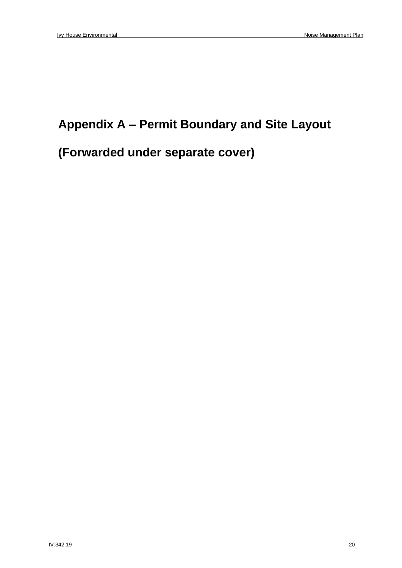### **Appendix A – Permit Boundary and Site Layout**

## **(Forwarded under separate cover)**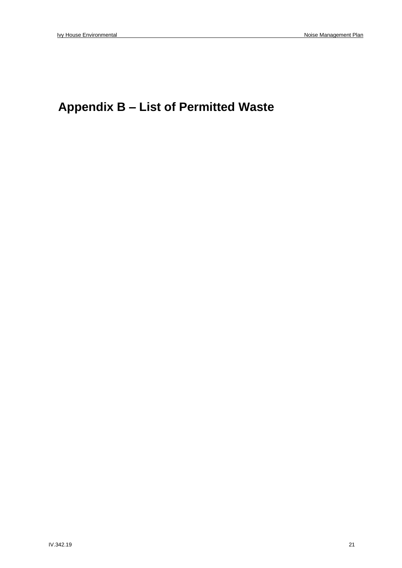## **Appendix B – List of Permitted Waste**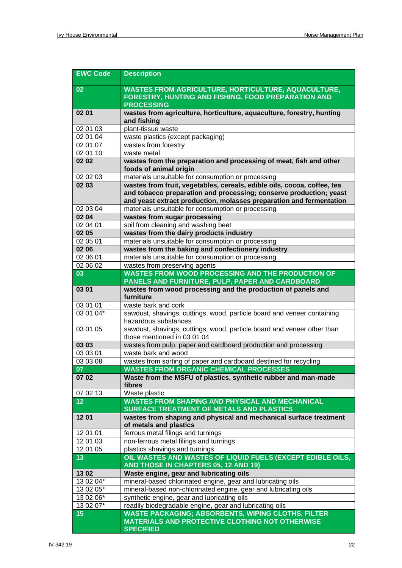| <b>EWC Code</b> | <b>Description</b>                                                                                                                     |
|-----------------|----------------------------------------------------------------------------------------------------------------------------------------|
| 02              | <b>WASTES FROM AGRICULTURE, HORTICULTURE, AQUACULTURE,</b><br>FORESTRY, HUNTING AND FISHING, FOOD PREPARATION AND<br><b>PROCESSING</b> |
| 02 01           | wastes from agriculture, horticulture, aquaculture, forestry, hunting<br>and fishing                                                   |
| 02 01 03        | plant-tissue waste                                                                                                                     |
| 02 01 04        | waste plastics (except packaging)                                                                                                      |
| 02 01 07        | wastes from forestry                                                                                                                   |
| 02 01 10        | waste metal                                                                                                                            |
| 02 02           | wastes from the preparation and processing of meat, fish and other<br>foods of animal origin                                           |
| 02 02 03        | materials unsuitable for consumption or processing                                                                                     |
| 02 03           | wastes from fruit, vegetables, cereals, edible oils, cocoa, coffee, tea                                                                |
|                 | and tobacco preparation and processing; conserve production; yeast                                                                     |
|                 | and yeast extract production, molasses preparation and fermentation                                                                    |
| 02 03 04        | materials unsuitable for consumption or processing                                                                                     |
| 02 04           | wastes from sugar processing                                                                                                           |
| 02 04 01        | soil from cleaning and washing beet                                                                                                    |
| 02 05           | wastes from the dairy products industry                                                                                                |
| 02 05 01        | materials unsuitable for consumption or processing                                                                                     |
| 02 06           | wastes from the baking and confectionery industry                                                                                      |
| 02 06 01        | materials unsuitable for consumption or processing                                                                                     |
| 02 06 02        | wastes from preserving agents                                                                                                          |
| 03              | <b>WASTES FROM WOOD PROCESSING AND THE PRODUCTION OF</b>                                                                               |
|                 | PANELS AND FURNITURE, PULP, PAPER AND CARDBOARD                                                                                        |
| 03 01           | wastes from wood processing and the production of panels and<br>furniture                                                              |
| 03 01 01        | waste bark and cork                                                                                                                    |
| 03 01 04*       | sawdust, shavings, cuttings, wood, particle board and veneer containing<br>hazardous substances                                        |
| 03 01 05        | sawdust, shavings, cuttings, wood, particle board and veneer other than<br>those mentioned in 03 01 04                                 |
| 03 03           | wastes from pulp, paper and cardboard production and processing                                                                        |
| 03 03 01        | waste bark and wood                                                                                                                    |
| 03 03 08        | wastes from sorting of paper and cardboard destined for recycling                                                                      |
| 07              | <b>WASTES FROM ORGANIC CHEMICAL PROCESSES</b>                                                                                          |
| 07 02           | Waste from the MSFU of plastics, synthetic rubber and man-made<br>fibres                                                               |
| 07 02 13        | Waste plastic                                                                                                                          |
| 12              | <b>WASTES FROM SHAPING AND PHYSICAL AND MECHANICAL</b><br>SURFACE TREATMENT OF METALS AND PLASTICS                                     |
| 1201            | wastes from shaping and physical and mechanical surface treatment<br>of metals and plastics                                            |
| 12 01 01        | ferrous metal filings and turnings                                                                                                     |
| 12 01 03        | non-ferrous metal filings and turnings                                                                                                 |
| 12 01 05        | plastics shavings and turnings                                                                                                         |
| 13              | OIL WASTES AND WASTES OF LIQUID FUELS (EXCEPT EDIBLE OILS,                                                                             |
|                 | AND THOSE IN CHAPTERS 05, 12 AND 19)                                                                                                   |
| 1302            | Waste engine, gear and lubricating oils                                                                                                |
| $130204*$       | mineral-based chlorinated engine, gear and lubricating oils                                                                            |
| 13 02 05*       | mineral-based non-chlorinated engine, gear and lubricating oils                                                                        |
| 13 02 06*       | synthetic engine, gear and lubricating oils                                                                                            |
| 13 02 07*       | readily biodegradable engine, gear and lubricating oils                                                                                |
| 15              | <b>WASTE PACKAGING; ABSORBENTS, WIPING CLOTHS, FILTER</b>                                                                              |
|                 | <b>MATERIALS AND PROTECTIVE CLOTHING NOT OTHERWISE</b><br><b>SPECIFIED</b>                                                             |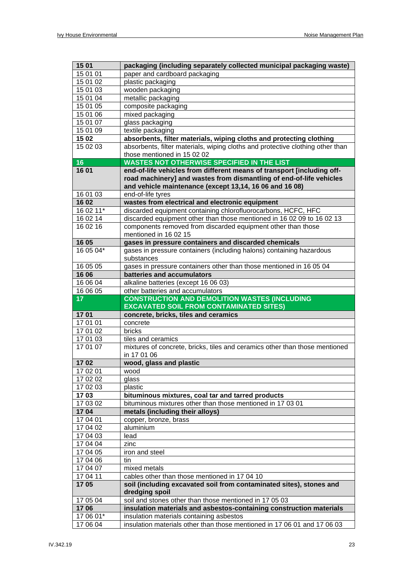| 15 01                 | packaging (including separately collected municipal packaging waste)                                                                                                                                     |
|-----------------------|----------------------------------------------------------------------------------------------------------------------------------------------------------------------------------------------------------|
| 15 01 01              | paper and cardboard packaging                                                                                                                                                                            |
| 15 01 02              | plastic packaging                                                                                                                                                                                        |
| 15 01 03              | wooden packaging                                                                                                                                                                                         |
| 15 01 04              | metallic packaging                                                                                                                                                                                       |
| 15 01 05              | composite packaging                                                                                                                                                                                      |
| 15 01 06              | mixed packaging                                                                                                                                                                                          |
| 15 01 07              | glass packaging                                                                                                                                                                                          |
| 15 01 09              | textile packaging                                                                                                                                                                                        |
| 15 02                 | absorbents, filter materials, wiping cloths and protecting clothing                                                                                                                                      |
| 15 02 03              | absorbents, filter materials, wiping cloths and protective clothing other than                                                                                                                           |
|                       | those mentioned in 15 02 02                                                                                                                                                                              |
| 16                    | <b>WASTES NOT OTHERWISE SPECIFIED IN THE LIST</b>                                                                                                                                                        |
| 1601                  | end-of-life vehicles from different means of transport [including off-<br>road machinery] and wastes from dismantling of end-of-life vehicles<br>and vehicle maintenance (except 13,14, 16 06 and 16 08) |
| 16 01 03              | end-of-life tyres                                                                                                                                                                                        |
| 16 02                 | wastes from electrical and electronic equipment                                                                                                                                                          |
| $1602\overline{11*}$  | discarded equipment containing chlorofluorocarbons, HCFC, HFC                                                                                                                                            |
| 16 02 14              | discarded equipment other than those mentioned in 16 02 09 to 16 02 13                                                                                                                                   |
| 16 02 16              | components removed from discarded equipment other than those                                                                                                                                             |
|                       | mentioned in 16 02 15                                                                                                                                                                                    |
| 16 05                 | gases in pressure containers and discarded chemicals                                                                                                                                                     |
| 16 05 04*             | gases in pressure containers (including halons) containing hazardous                                                                                                                                     |
|                       | substances                                                                                                                                                                                               |
| 16 05 05              | gases in pressure containers other than those mentioned in 16 05 04                                                                                                                                      |
| 16 06                 | batteries and accumulators                                                                                                                                                                               |
| 16 06 04              | alkaline batteries (except 16 06 03)                                                                                                                                                                     |
| 16 06 05              | other batteries and accumulators                                                                                                                                                                         |
|                       |                                                                                                                                                                                                          |
| 17 <sub>2</sub>       | <b>CONSTRUCTION AND DEMOLITION WASTES (INCLUDING</b>                                                                                                                                                     |
|                       | <b>EXCAVATED SOIL FROM CONTAMINATED SITES)</b>                                                                                                                                                           |
| 1701                  | concrete, bricks, tiles and ceramics                                                                                                                                                                     |
| 17 01 01              | concrete                                                                                                                                                                                                 |
| 17 01 02              | bricks                                                                                                                                                                                                   |
| 17 01 03              | tiles and ceramics                                                                                                                                                                                       |
| 17 01 07              | mixtures of concrete, bricks, tiles and ceramics other than those mentioned<br>in 17 01 06                                                                                                               |
| 1702                  | wood, glass and plastic                                                                                                                                                                                  |
| 17 02 01              | wood                                                                                                                                                                                                     |
| 17 02 02              | glass                                                                                                                                                                                                    |
| 17 02 03              | plastic                                                                                                                                                                                                  |
| 1703                  | bituminous mixtures, coal tar and tarred products                                                                                                                                                        |
| 17 03 02              | bituminous mixtures other than those mentioned in 17 03 01                                                                                                                                               |
| 1704                  | metals (including their alloys)                                                                                                                                                                          |
| 17 04 01              | copper, bronze, brass                                                                                                                                                                                    |
| 17 04 02              | aluminium                                                                                                                                                                                                |
| 17 04 03              | lead                                                                                                                                                                                                     |
| 17 04 04              | zinc                                                                                                                                                                                                     |
| 17 04 05              | iron and steel                                                                                                                                                                                           |
| 17 04 06              | tin                                                                                                                                                                                                      |
| 17 04 07              | mixed metals                                                                                                                                                                                             |
| 17 04 11              | cables other than those mentioned in 17 04 10                                                                                                                                                            |
| 1705                  | soil (including excavated soil from contaminated sites), stones and<br>dredging spoil                                                                                                                    |
| 17 05 04              | soil and stones other than those mentioned in 17 05 03                                                                                                                                                   |
| 1706                  | insulation materials and asbestos-containing construction materials                                                                                                                                      |
| 17 06 01*<br>17 06 04 | insulation materials containing asbestos<br>insulation materials other than those mentioned in 17 06 01 and 17 06 03                                                                                     |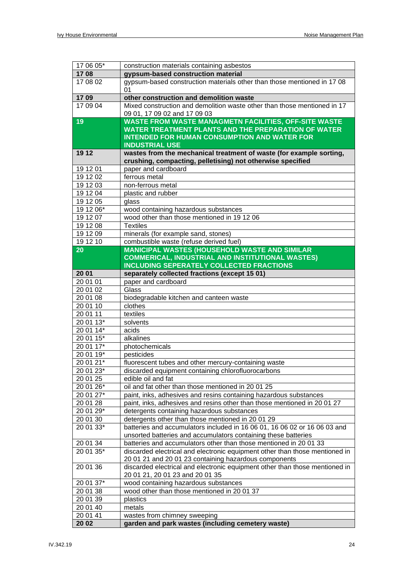| 17 06 05*              | construction materials containing asbestos                                                                                                                                                                 |
|------------------------|------------------------------------------------------------------------------------------------------------------------------------------------------------------------------------------------------------|
| 1708                   | gypsum-based construction material                                                                                                                                                                         |
| 17 08 02               | gypsum-based construction materials other than those mentioned in 17 08<br>01                                                                                                                              |
| 1709                   | other construction and demolition waste                                                                                                                                                                    |
| 17 09 04               | Mixed construction and demolition waste other than those mentioned in 17<br>09 01, 17 09 02 and 17 09 03                                                                                                   |
| 19                     | <b>WASTE FROM WASTE MANAGMETN FACILITIES, OFF-SITE WASTE</b><br><b>WATER TREATMENT PLANTS AND THE PREPARATION OF WATER</b><br><b>INTENDED FOR HUMAN CONSUMPTION AND WATER FOR</b><br><b>INDUSTRIAL USE</b> |
| 19 12                  | wastes from the mechanical treatment of waste (for example sorting,<br>crushing, compacting, pelletising) not otherwise specified                                                                          |
| 19 12 01               | paper and cardboard                                                                                                                                                                                        |
| 19 12 02               | ferrous metal                                                                                                                                                                                              |
| 19 12 03               | non-ferrous metal                                                                                                                                                                                          |
| 19 12 04               | plastic and rubber                                                                                                                                                                                         |
| 19 12 05               | glass                                                                                                                                                                                                      |
| 19 12 06*              | wood containing hazardous substances                                                                                                                                                                       |
| 19 12 07               | wood other than those mentioned in 19 12 06                                                                                                                                                                |
| 19 12 08               | <b>Textiles</b>                                                                                                                                                                                            |
| 19 12 09               | minerals (for example sand, stones)                                                                                                                                                                        |
| 19 12 10               | combustible waste (refuse derived fuel)                                                                                                                                                                    |
| 20                     | <b>MANICIPAL WASTES (HOUSEHOLD WASTE AND SIMILAR</b>                                                                                                                                                       |
|                        | COMMERICAL, INDUSTRIAL AND INSTITUTIONAL WASTES)                                                                                                                                                           |
|                        | <b>INCLUDING SEPERATELY COLLECTED FRACTIONS</b>                                                                                                                                                            |
| 20 01                  | separately collected fractions (except 15 01)                                                                                                                                                              |
| 20 01 01               | paper and cardboard                                                                                                                                                                                        |
| 20 01 02               | Glass                                                                                                                                                                                                      |
| 20 01 08               | biodegradable kitchen and canteen waste                                                                                                                                                                    |
| 200110                 | clothes                                                                                                                                                                                                    |
| 200111                 | textiles                                                                                                                                                                                                   |
| $200113*$<br>$200114*$ | solvents                                                                                                                                                                                                   |
| $200115*$              | acids<br>alkalines                                                                                                                                                                                         |
| $200117*$              | photochemicals                                                                                                                                                                                             |
| $200119*$              | pesticides                                                                                                                                                                                                 |
| $20\,01\,21*$          | fluorescent tubes and other mercury-containing waste                                                                                                                                                       |
| 20 01 23*              | discarded equipment containing chlorofluorocarbons                                                                                                                                                         |
| 20 01 25               | edible oil and fat                                                                                                                                                                                         |
| 20 01 26*              | oil and fat other than those mentioned in 20 01 25                                                                                                                                                         |
| 20 01 27*              | paint, inks, adhesives and resins containing hazardous substances                                                                                                                                          |
| 20 01 28               | paint, inks, adhesives and resins other than those mentioned in 20 01 27                                                                                                                                   |
| 20 01 29*              | detergents containing hazardous substances                                                                                                                                                                 |
| 20 01 30               | detergents other than those mentioned in 20 01 29                                                                                                                                                          |
| 20 01 33*              | batteries and accumulators included in 16 06 01, 16 06 02 or 16 06 03 and                                                                                                                                  |
|                        | unsorted batteries and accumulators containing these batteries                                                                                                                                             |
| 20 01 34               | batteries and accumulators other than those mentioned in 20 01 33                                                                                                                                          |
| 20 01 35*              | discarded electrical and electronic equipment other than those mentioned in                                                                                                                                |
|                        | 20 01 21 and 20 01 23 containing hazardous components                                                                                                                                                      |
| 20 01 36               | discarded electrical and electronic equipment other than those mentioned in<br>20 01 21, 20 01 23 and 20 01 35                                                                                             |
| 20 01 37*              | wood containing hazardous substances                                                                                                                                                                       |
| 20 01 38               | wood other than those mentioned in 20 01 37                                                                                                                                                                |
| 20 01 39               | plastics                                                                                                                                                                                                   |
| 20 01 40               | metals                                                                                                                                                                                                     |
| 20 01 41               | wastes from chimney sweeping                                                                                                                                                                               |
| 20 02                  | garden and park wastes (including cemetery waste)                                                                                                                                                          |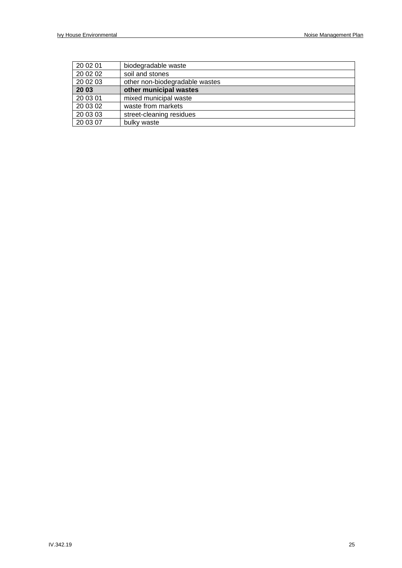| 20 02 01 | biodegradable waste            |
|----------|--------------------------------|
| 20 02 02 | soil and stones                |
| 20 02 03 | other non-biodegradable wastes |
| 20 03    | other municipal wastes         |
| 20 03 01 | mixed municipal waste          |
| 20 03 02 | waste from markets             |
| 20 03 03 | street-cleaning residues       |
| 20 03 07 | bulky waste                    |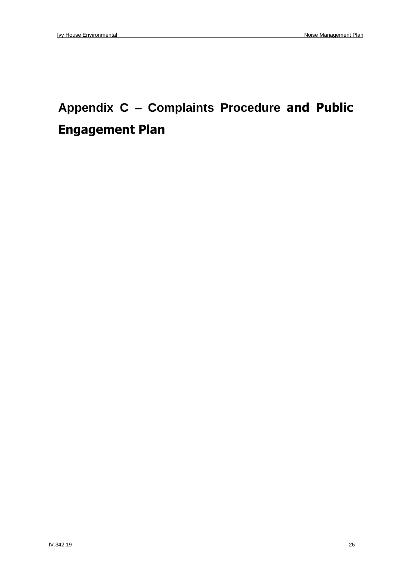## **Appendix C – Complaints Procedure and Public Engagement Plan**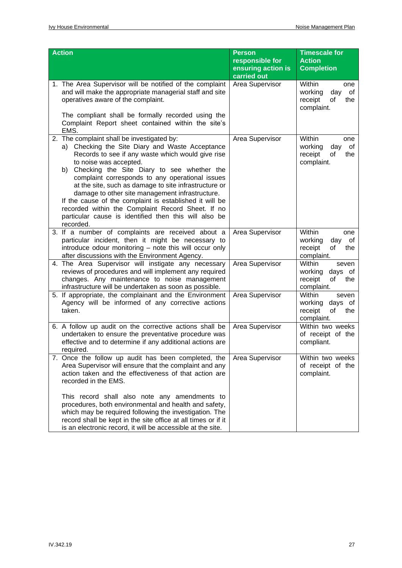| <b>Action</b>                                                                                                                                                                                                                                                                                                                                                                                                                                                                                                                                                                      | <b>Person</b><br>responsible for<br>ensuring action is<br>carried out | <b>Timescale for</b><br><b>Action</b><br><b>Completion</b>                  |
|------------------------------------------------------------------------------------------------------------------------------------------------------------------------------------------------------------------------------------------------------------------------------------------------------------------------------------------------------------------------------------------------------------------------------------------------------------------------------------------------------------------------------------------------------------------------------------|-----------------------------------------------------------------------|-----------------------------------------------------------------------------|
| 1. The Area Supervisor will be notified of the complaint<br>and will make the appropriate managerial staff and site<br>operatives aware of the complaint.<br>The compliant shall be formally recorded using the<br>Complaint Report sheet contained within the site's<br>EMS.                                                                                                                                                                                                                                                                                                      | Area Supervisor                                                       | Within<br>one<br>working<br>day<br>οf<br>receipt<br>of<br>the<br>complaint. |
| 2. The complaint shall be investigated by:<br>a) Checking the Site Diary and Waste Acceptance<br>Records to see if any waste which would give rise<br>to noise was accepted.<br>b) Checking the Site Diary to see whether the<br>complaint corresponds to any operational issues<br>at the site, such as damage to site infrastructure or<br>damage to other site management infrastructure.<br>If the cause of the complaint is established it will be<br>recorded within the Complaint Record Sheet. If no<br>particular cause is identified then this will also be<br>recorded. | Area Supervisor                                                       | Within<br>one<br>working<br>day<br>0f<br>receipt<br>of<br>the<br>complaint. |
| 3. If a number of complaints are received about a<br>particular incident, then it might be necessary to<br>introduce odour monitoring - note this will occur only<br>after discussions with the Environment Agency.                                                                                                                                                                                                                                                                                                                                                                | Area Supervisor                                                       | Within<br>one<br>working<br>day<br>0f<br>receipt<br>of<br>the<br>complaint. |
| 4. The Area Supervisor will instigate any necessary<br>reviews of procedures and will implement any required<br>changes. Any maintenance to noise management<br>infrastructure will be undertaken as soon as possible.                                                                                                                                                                                                                                                                                                                                                             | Area Supervisor                                                       | Within<br>seven<br>working<br>days of<br>receipt<br>the<br>of<br>complaint. |
| 5. If appropriate, the complainant and the Environment<br>Agency will be informed of any corrective actions<br>taken.                                                                                                                                                                                                                                                                                                                                                                                                                                                              | Area Supervisor                                                       | Within<br>seven<br>working<br>days of<br>receipt<br>of<br>the<br>complaint. |
| 6. A follow up audit on the corrective actions shall be<br>undertaken to ensure the preventative procedure was<br>effective and to determine if any additional actions are<br>required.                                                                                                                                                                                                                                                                                                                                                                                            | Area Supervisor                                                       | Within two weeks<br>of receipt of the<br>compliant.                         |
| 7. Once the follow up audit has been completed, the<br>Area Supervisor will ensure that the complaint and any<br>action taken and the effectiveness of that action are<br>recorded in the EMS.<br>This record shall also note any amendments to<br>procedures, both environmental and health and safety,<br>which may be required following the investigation. The<br>record shall be kept in the site office at all times or if it<br>is an electronic record, it will be accessible at the site.                                                                                 | Area Supervisor                                                       | Within two weeks<br>of receipt of the<br>complaint.                         |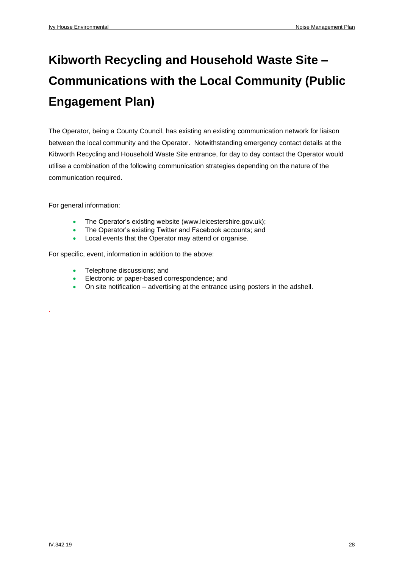## **Kibworth Recycling and Household Waste Site – Communications with the Local Community (Public Engagement Plan)**

The Operator, being a County Council, has existing an existing communication network for liaison between the local community and the Operator. Notwithstanding emergency contact details at the Kibworth Recycling and Household Waste Site entrance, for day to day contact the Operator would utilise a combination of the following communication strategies depending on the nature of the communication required.

For general information:

.

- The Operator's existing website [\(www.leicestershire.gov.uk\)](http://www.leicestershire.gov.uk/);
- The Operator's existing Twitter and Facebook accounts; and
- Local events that the Operator may attend or organise.

For specific, event, information in addition to the above:

- Telephone discussions; and
- Electronic or paper-based correspondence; and
- On site notification advertising at the entrance using posters in the adshell.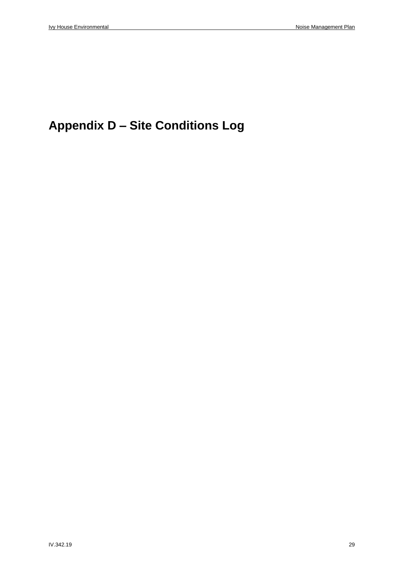## **Appendix D – Site Conditions Log**